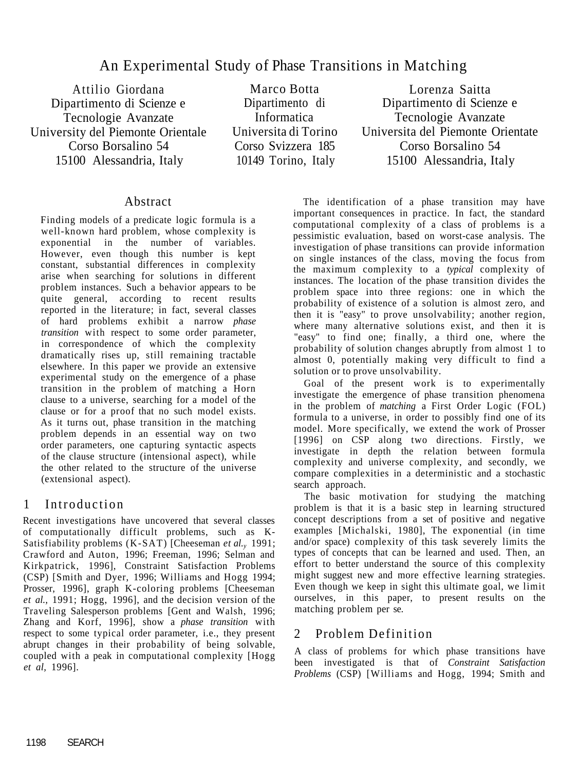# An Experimental Study of Phase Transitions in Matching

Attilio Giordana Dipartimento di Scienze e Tecnologie Avanzate University del Piemonte Orientale Corso Borsalino 54 15100 Alessandria, Italy

Marco Botta Dipartimento di Informatica Universita di Torino Corso Svizzera 185 10149 Torino, Italy

Lorenza Saitta Dipartimento di Scienze e Tecnologie Avanzate Universita del Piemonte Orientate Corso Borsalino 54 15100 Alessandria, Italy

## Abstract

Finding models of a predicate logic formula is a well-known hard problem, whose complexity is exponential in the number of variables. However, even though this number is kept constant, substantial differences in complexity arise when searching for solutions in different problem instances. Such a behavior appears to be quite general, according to recent results reported in the literature; in fact, several classes of hard problems exhibit a narrow *phase transition* with respect to some order parameter, in correspondence of which the complexity dramatically rises up, still remaining tractable elsewhere. In this paper we provide an extensive experimental study on the emergence of a phase transition in the problem of matching a Horn clause to a universe, searching for a model of the clause or for a proof that no such model exists. As it turns out, phase transition in the matching problem depends in an essential way on two order parameters, one capturing syntactic aspects of the clause structure (intensional aspect), while the other related to the structure of the universe (extensional aspect).

# 1 Introduction

Recent investigations have uncovered that several classes of computationally difficult problems, such as K-Satisfiability problems (K-SAT) [Cheeseman *et al.y* 1991; Crawford and Auton, 1996; Freeman, 1996; Selman and Kirkpatrick, 1996], Constraint Satisfaction Problems (CSP) [Smith and Dyer, 1996; Williams and Hogg 1994; Prosser, 1996], graph K-coloring problems [Cheeseman *et al.,* 1991; Hogg, 1996], and the decision version of the Traveling Salesperson problems [Gent and Walsh, 1996; Zhang and Korf, 1996], show a *phase transition* with respect to some typical order parameter, i.e., they present abrupt changes in their probability of being solvable, coupled with a peak in computational complexity [Hogg *et al,* 1996].

The identification of a phase transition may have important consequences in practice. In fact, the standard computational complexity of a class of problems is a pessimistic evaluation, based on worst-case analysis. The investigation of phase transitions can provide information on single instances of the class, moving the focus from the maximum complexity to a *typical* complexity of instances. The location of the phase transition divides the problem space into three regions: one in which the probability of existence of a solution is almost zero, and then it is "easy" to prove unsolvability; another region, where many alternative solutions exist, and then it is "easy" to find one; finally, a third one, where the probability of solution changes abruptly from almost 1 to almost 0, potentially making very difficult to find a solution or to prove unsolvability.

Goal of the present work is to experimentally investigate the emergence of phase transition phenomena in the problem of *matching* a First Order Logic (FOL) formula to a universe, in order to possibly find one of its model. More specifically, we extend the work of Prosser [1996] on CSP along two directions. Firstly, we investigate in depth the relation between formula complexity and universe complexity, and secondly, we

compare complexities in a deterministic and a stochastic search approach.

The basic motivation for studying the matching problem is that it is a basic step in learning structured concept descriptions from a set of positive and negative examples [Michalski, 1980], The exponential (in time and/or space) complexity of this task severely limits the types of concepts that can be learned and used. Then, an effort to better understand the source of this complexity might suggest new and more effective learning strategies. Even though we keep in sight this ultimate goal, we limit ourselves, in this paper, to present results on the matching problem per se.

## 2 Problem Definition

A class of problems for which phase transitions have been investigated is that of *Constraint Satisfaction Problems* (CSP) [Williams and Hogg, 1994; Smith and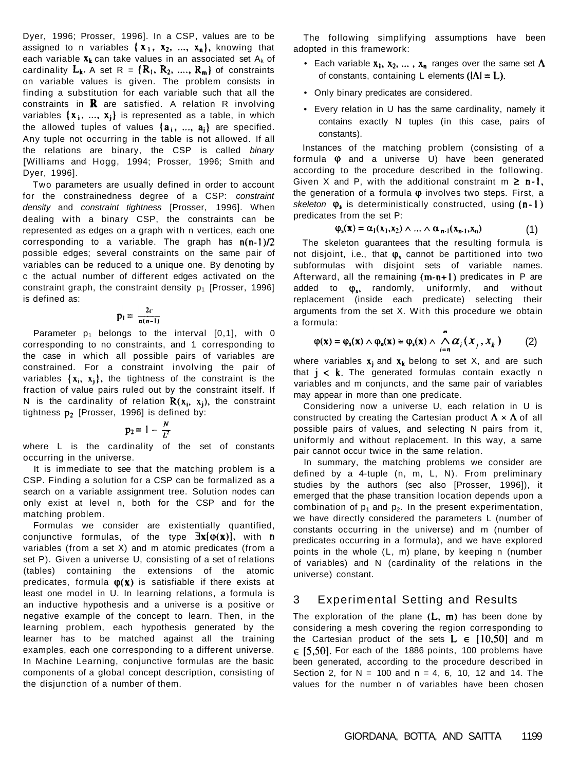Dyer, 1996; Prosser, 1996]. In a CSP, values are to be assigned to n variables  $\{x_1, x_2, ..., x_n\}$ , knowing that each variable  $x_k$  can take values in an associated set A<sub>k</sub> of cardinality  $L_k$ . A set R =  $\{R_1, R_2, ..., R_m\}$  of constraints on variable values is given. The problem consists in finding a substitution for each variable such that all the constraints in  $\mathbf R$  are satisfied. A relation R involving variables  $\{x_i, ..., x_j\}$  is represented as a table, in which the allowed tuples of values  $\{a_i, ..., a_j\}$  are specified. Any tuple not occurring in the table is not allowed. If all the relations are binary, the CSP is called binary [Williams and Hogg, 1994; Prosser, 1996; Smith and Dyer, 1996].

where L is the cardinality of the set of constants occurring in the universe.

Two parameters are usually defined in order to account for the constrainedness degree of a CSP: constraint density and constraint tightness [Prosser, 1996]. When dealing with a binary CSP, the constraints can be represented as edges on a graph with n vertices, each one corresponding to a variable. The graph has  $n(n-1)/2$ possible edges; several constraints on the same pair of variables can be reduced to a unique one. By denoting by c the actual number of different edges activated on the constraint graph, the constraint density  $p_1$  [Prosser, 1996] is defined as:

$$
p_1=\frac{2c}{n(n-1)}
$$

Parameter  $p_1$  belongs to the interval  $[0,1]$ , with 0 corresponding to no constraints, and 1 corresponding to the case in which all possible pairs of variables are constrained. For a constraint involving the pair of variables  $\{x_i, x_j\}$ , the tightness of the constraint is the fraction of value pairs ruled out by the constraint itself. If N is the cardinality of relation  $R(x_i, x_i)$ , the constraint tightness  $p_2$  [Prosser, 1996] is defined by:

$$
p_2 = 1 - \frac{N}{L^2}
$$

- Each variable  $x_1, x_2, ..., x_n$  ranges over the same set  $\Lambda$ of constants, containing L elements  $(i\Lambda) = L$ ).
- Only binary predicates are considered.
- Every relation in U has the same cardinality, namely it contains exactly N tuples (in this case, pairs of constants).

It is immediate to see that the matching problem is a

CSP. Finding a solution for a CSP can be formalized as a search on a variable assignment tree. Solution nodes can only exist at level n, both for the CSP and for the matching problem.

where variables  $x_j$  and  $x_k$  belong to set X, and are such that  $j < k$ . The generated formulas contain exactly n variables and m conjuncts, and the same pair of variables may appear in more than one predicate.

Formulas we consider are existentially quantified, conjunctive formulas, of the type  $\exists x [\varphi(x)]$ , with **n** variables (from a set X) and m atomic predicates (from a set P). Given a universe U, consisting of a set of relations (tables) containing the extensions of the atomic predicates, formula  $\varphi(x)$  is satisfiable if there exists at least one model in U. In learning relations, a formula is an inductive hypothesis and a universe is a positive or negative example of the concept to learn. Then, in the learning problem, each hypothesis generated by the learner has to be matched against all the training examples, each one corresponding to a different universe. In Machine Learning, conjunctive formulas are the basic components of a global concept description, consisting of the disjunction of a number of them.

The exploration of the plane  $(L, m)$  has been done by considering a mesh covering the region corresponding to the Cartesian product of the sets  $L \in \{10, 50\}$  and m  $\in$  [5,50]. For each of the 1886 points, 100 problems have been generated, according to the procedure described in Section 2, for  $N = 100$  and  $n = 4, 6, 10, 12$  and 14. The values for the number n of variables have been chosen

The following simplifying assumptions have been adopted in this framework:

Instances of the matching problem (consisting of a formula  $\varphi$  and a universe U) have been generated according to the procedure described in the following. Given X and P, with the additional constraint  $m \ge n-1$ , the generation of a formula  $\varphi$  involves two steps. First, a skeleton  $\varphi_s$  is deterministically constructed, using  $(n-1)$ predicates from the set P:

$$
\varphi_{s}(\mathbf{x}) = \alpha_1(x_1, x_2) \wedge \ldots \wedge \alpha_{n-1}(x_{n-1}, x_n) \tag{1}
$$

The skeleton guarantees that the resulting formula is not disjoint, i.e., that  $\varphi_s$  cannot be partitioned into two subformulas with disjoint sets of variable names. Afterward, all the remaining  $(m-n+1)$  predicates in P are added to  $\varphi_s$ , randomly, uniformly, and without replacement (inside each predicate) selecting their arguments from the set X. With this procedure we obtain a formula:

$$
\varphi(\mathbf{x}) = \varphi_{s}(\mathbf{x}) \wedge \varphi_{s}(\mathbf{x}) \equiv \varphi_{s}(\mathbf{x}) \wedge \bigwedge_{i=n}^{m} \alpha_{i} (x_{j}, x_{k}) \qquad (2)
$$

Considering now a universe U, each relation in U is constructed by creating the Cartesian product  $\Lambda \times \Lambda$  of all possible pairs of values, and selecting N pairs from it, uniformly and without replacement. In this way, a same pair cannot occur twice in the same relation.

In summary, the matching problems we consider are

defined by a 4-tuple (n, m, L, N). From preliminary studies by the authors (sec also [Prosser, 1996]), it emerged that the phase transition location depends upon a combination of  $p_1$  and  $p_2$ . In the present experimentation, we have directly considered the parameters L (number of constants occurring in the universe) and m (number of predicates occurring in a formula), and we have explored points in the whole (L, m) plane, by keeping n (number of variables) and N (cardinality of the relations in the universe) constant.

## 3 Experimental Setting and Results

#### GIORDANA, BOTTA, AND SAITTA 1199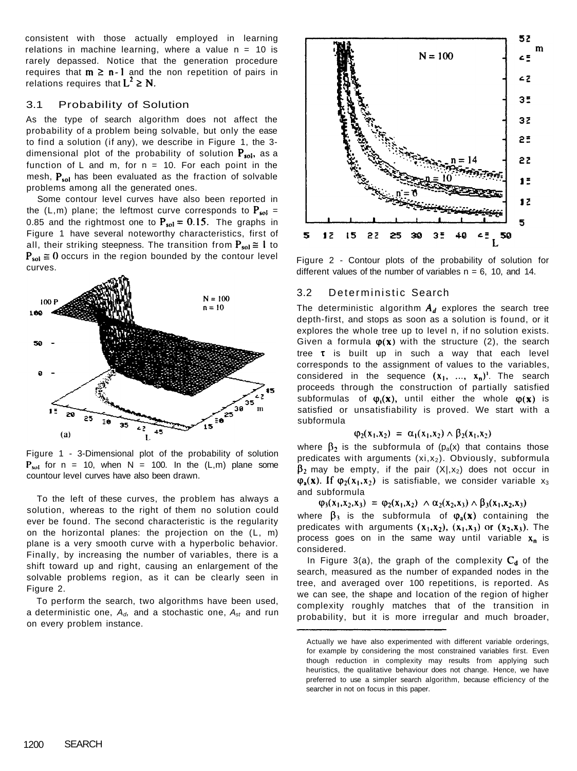consistent with those actually employed in learning relations in machine learning, where a value  $n = 10$  is rarely depassed. Notice that the generation procedure requires that  $m \ge n-1$  and the non repetition of pairs in relations requires that  $L^2 \geq N$ .

#### 3.1 Probability of Solution

As the type of search algorithm does not affect the probability of a problem being solvable, but only the ease to find a solution (if any), we describe in Figure 1, the 3 dimensional plot of the probability of solution  $P_{sol}$ , as a function of L and m, for  $n = 10$ . For each point in the mesh,  $P_{sol}$  has been evaluated as the fraction of solvable problems among all the generated ones.



Figure 1 - 3-Dimensional plot of the probability of solution  $P_{sol}$  for n = 10, when N = 100. In the  $(L,m)$  plane some

Some contour level curves have also been reported in the (L,m) plane; the leftmost curve corresponds to  $P_{sol}$  = 0.85 and the rightmost one to  $P_{sol} = 0.15$ . The graphs in Figure 1 have several noteworthy characteristics, first of all, their striking steepness. The transition from  $P_{sol} \cong 1$  to  $P_{sol} \equiv 0$  occurs in the region bounded by the contour level curves.



Figure 2 - Contour plots of the probability of solution for different values of the number of variables  $n = 6$ , 10, and 14.

#### 3.2 Deterministic Search

countour level curves have also been drawn.

The deterministic algorithm  $A_d$  explores the search tree depth-first, and stops as soon as a solution is found, or it explores the whole tree up to level n, if no solution exists. Given a formula  $\varphi(x)$  with the structure (2), the search tree  $\tau$  is built up in such a way that each level corresponds to the assignment of values to the variables, considered in the sequence  $(x_1, ..., x_n)$ <sup>1</sup>. The search proceeds through the construction of partially satisfied subformulas of  $\varphi_i(x)$ , until either the whole  $\varphi(x)$  is satisfied or unsatisfiability is proved. We start with a subformula

#### $\varphi_2(x_1,x_2) = \alpha_1(x_1,x_2) \wedge \beta_2(x_1,x_2)$

where  $\beta_2$  is the subformula of (p<sub>a</sub>(x) that contains those predicates with arguments  $(xi, x_2)$ . Obviously, subformula  $\beta_2$  may be empty, if the pair  $(X|,x_2)$  does not occur in  $\varphi_{a}(x)$ . If  $\varphi_{2}(x_{1},x_{2})$  is satisfiable, we consider variable  $x_{3}$ and subformula

To the left of these curves, the problem has always a solution, whereas to the right of them no solution could ever be found. The second characteristic is the regularity on the horizontal planes: the projection on the (L, m) plane is a very smooth curve with a hyperbolic behavior. Finally, by increasing the number of variables, there is a shift toward up and right, causing an enlargement of the solvable problems region, as it can be clearly seen in Figure 2.

where  $\beta_3$  is the subformula of  $\varphi_a(x)$  containing the predicates with arguments  $(x_1, x_2)$ ,  $(x_1, x_3)$  or  $(x_2, x_3)$ . The process goes on in the same way until variable  $x_n$  is considered.

In Figure 3(a), the graph of the complexity  $C_d$  of the search, measured as the number of expanded nodes in the tree, and averaged over 100 repetitions, is reported. As we can see, the shape and location of the region of higher complexity roughly matches that of the transition in probability, but it is more irregular and much broader,

To perform the search, two algorithms have been used, a deterministic one,  $A_d$ , and a stochastic one,  $A_{st}$  and run on every problem instance.

 $\varphi_3(x_1, x_2, x_3) = \varphi_2(x_1, x_2) \wedge \alpha_2(x_2, x_3) \wedge \beta_3(x_1, x_2, x_3)$ 

Actually we have also experimented with different variable orderings, for example by considering the most constrained variables first. Even though reduction in complexity may results from applying such heuristics, the qualitative behaviour does not change. Hence, we have preferred to use a simpler search algorithm, because efficiency of the searcher in not on focus in this paper.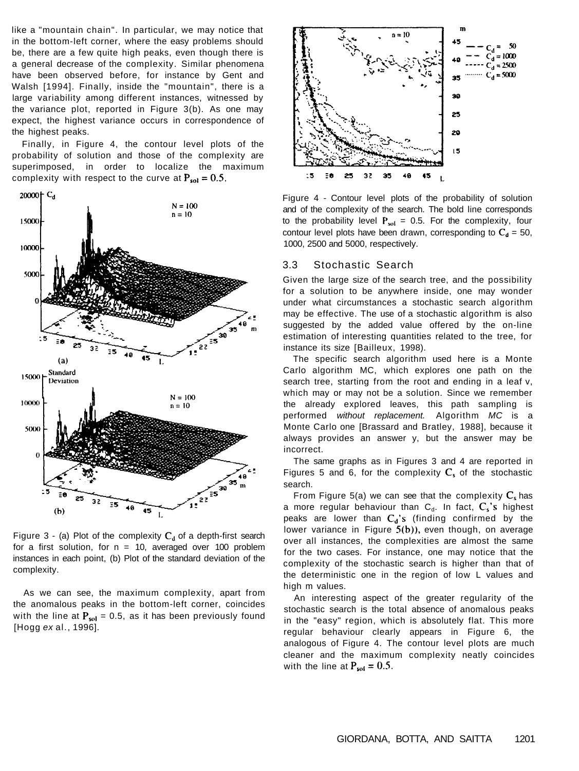like a "mountain chain". In particular, we may notice that in the bottom-left corner, where the easy problems should be, there are a few quite high peaks, even though there is a general decrease of the complexity. Similar phenomena have been observed before, for instance by Gent and Walsh [1994]. Finally, inside the "mountain", there is a large variability among different instances, witnessed by the variance plot, reported in Figure 3(b). As one may expect, the highest variance occurs in correspondence of the highest peaks.

Finally, in Figure 4, the contour level plots of the probability of solution and those of the complexity are superimposed, in order to localize the maximum complexity with respect to the curve at  $P_{sol} = 0.5$ .





Figure 3 - (a) Plot of the complexity  $C_d$  of a depth-first search for a first solution, for  $n = 10$ , averaged over 100 problem instances in each point, (b) Plot of the standard deviation of the complexity.

As we can see, the maximum complexity, apart from the anomalous peaks in the bottom-left corner, coincides with the line at  $P_{sol} = 0.5$ , as it has been previously found [Hogg ex al., 1996].

Figures 5 and 6, for the complexity  $C_s$  of the stochastic search.

Figure 4 - Contour level plots of the probability of solution and of the complexity of the search. The bold line corresponds to the probability level  $P_{sol} = 0.5$ . For the complexity, four contour level plots have been drawn, corresponding to  $C_d = 50$ , 1000, 2500 and 5000, respectively.

From Figure 5(a) we can see that the complexity  $C_s$  has a more regular behaviour than  $C_d$ . In fact,  $C_s$ 's highest peaks are lower than  $C_d$ 's (finding confirmed by the lower variance in Figure  $5(b)$ ), even though, on average over all instances, the complexities are almost the same for the two cases. For instance, one may notice that the complexity of the stochastic search is higher than that of the deterministic one in the region of low L values and high m values.

An interesting aspect of the greater regularity of the stochastic search is the total absence of anomalous peaks in the "easy" region, which is absolutely flat. This more regular behaviour clearly appears in Figure 6, the analogous of Figure 4. The contour level plots are much cleaner and the maximum complexity neatly coincides with the line at  $P_{sol} = 0.5$ .

#### 3.3 Stochastic Search

Given the large size of the search tree, and the possibility for a solution to be anywhere inside, one may wonder under what circumstances a stochastic search algorithm may be effective. The use of a stochastic algorithm is also suggested by the added value offered by the on-line estimation of interesting quantities related to the tree, for instance its size [Bailleux, 1998).

The specific search algorithm used here is a Monte Carlo algorithm MC, which explores one path on the search tree, starting from the root and ending in a leaf v, which may or may not be a solution. Since we remember the already explored leaves, this path sampling is performed without replacement. Algorithm MC is a Monte Carlo one [Brassard and Bratley, 1988], because it always provides an answer y, but the answer may be incorrect.

The same graphs as in Figures 3 and 4 are reported in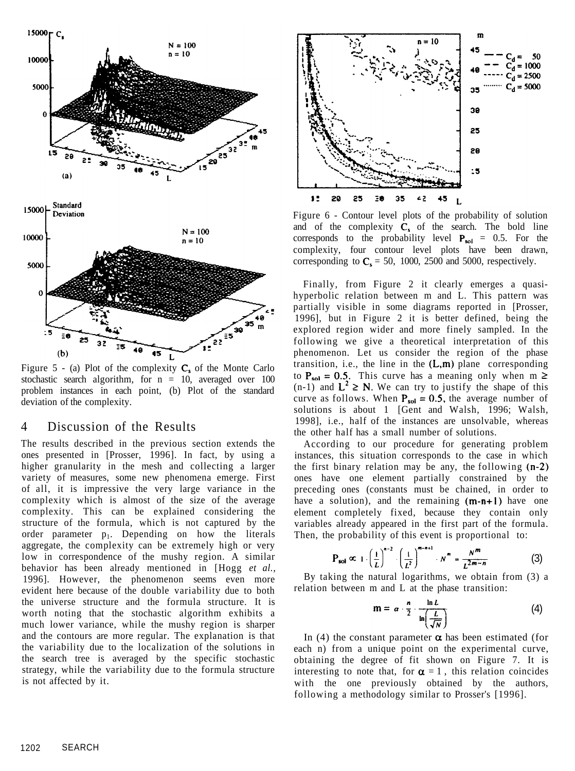

Figure 5 - (a) Plot of the complexity  $C_s$  of the Monte Carlo stochastic search algorithm, for  $n = 10$ , averaged over 100 problem instances in each point, (b) Plot of the standard deviation of the complexity.

### 4 Discussion of the Results



Figure 6 - Contour level plots of the probability of solution and of the complexity  $C_s$  of the search. The bold line corresponds to the probability level  $P_{sol} = 0.5$ . For the complexity, four contour level plots have been drawn, corresponding to  $C_s = 50$ , 1000, 2500 and 5000, respectively.

The results described in the previous section extends the ones presented in [Prosser, 1996]. In fact, by using a higher granularity in the mesh and collecting a larger variety of measures, some new phenomena emerge. First of all, it is impressive the very large variance in the complexity which is almost of the size of the average complexity. This can be explained considering the structure of the formula, which is not captured by the order parameter  $p_1$ . Depending on how the literals aggregate, the complexity can be extremely high or very low in correspondence of the mushy region. A similar behavior has been already mentioned in [Hogg *et al.,*  1996]. However, the phenomenon seems even more evident here because of the double variability due to both the universe structure and the formula structure. It is worth noting that the stochastic algorithm exhibits a much lower variance, while the mushy region is sharper and the contours are more regular. The explanation is that the variability due to the localization of the solutions in the search tree is averaged by the specific stochastic strategy, while the variability due to the formula structure is not affected by it.

According to our procedure for generating problem instances, this situation corresponds to the case in which the first binary relation may be any, the following  $(n-2)$ ones have one element partially constrained by the preceding ones (constants must be chained, in order to have a solution), and the remaining  $(m-n+1)$  have one element completely fixed, because they contain only variables already appeared in the first part of the formula. Then, the probability of this event is proportional to:

In (4) the constant parameter  $\alpha$  has been estimated (for each n) from a unique point on the experimental curve, obtaining the degree of fit shown on Figure 7. It is interesting to note that, for  $\alpha = 1$ , this relation coincides with the one previously obtained by the authors, following a methodology similar to Prosser's [1996].

Finally, from Figure 2 it clearly emerges a quasihyperbolic relation between m and L. This pattern was partially visible in some diagrams reported in [Prosser, 1996], but in Figure 2 it is better defined, being the explored region wider and more finely sampled. In the following we give a theoretical interpretation of this phenomenon. Let us consider the region of the phase transition, i.e., the line in the  $(L,m)$  plane corresponding to  $P_{sol} = 0.5$ . This curve has a meaning only when m  $\ge$  $(n-1)$  and  $L^2 \ge N$ . We can try to justify the shape of this curve as follows. When  $P_{sol} = 0.5$ , the average number of solutions is about 1 [Gent and Walsh, 1996; Walsh, 1998], i.e., half of the instances are unsolvable, whereas the other half has a small number of solutions.

$$
P_{sol} \propto 1 \cdot \left(\frac{1}{L}\right)^{n-2} \cdot \left(\frac{1}{L^2}\right)^{m-n+1} \cdot N^m = \frac{N^m}{L^{2m-n}}
$$
 (3)

By taking the natural logarithms, we obtain from (3) a relation between m and L at the phase transition:

$$
\mathbf{m} = \alpha \cdot \frac{n}{2} \cdot \frac{\ln L}{\ln \left( \frac{L}{\sqrt{N}} \right)} \tag{4}
$$